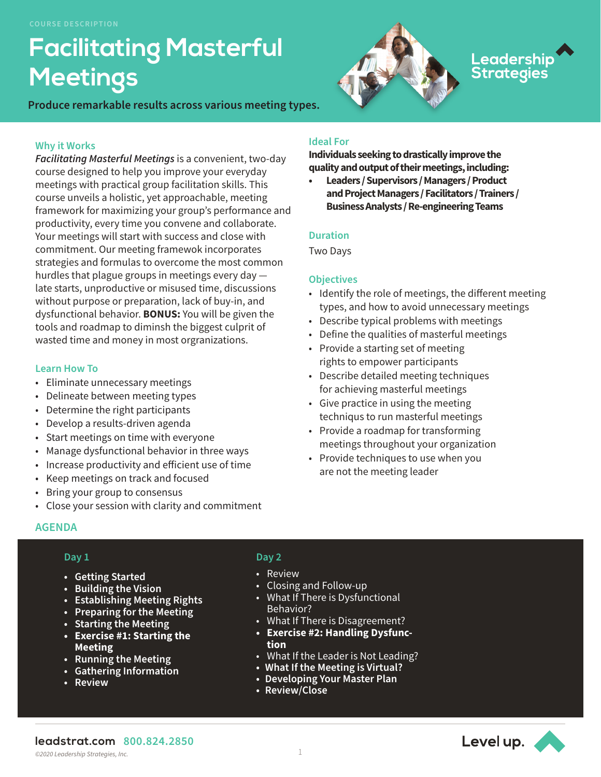# **Facilitating Masterful Meetings**

**Produce remarkable results across various meeting types.** 

## **Why it Works**

*Facilitating Masterful Meetings* is a convenient, two-day course designed to help you improve your everyday meetings with practical group facilitation skills. This course unveils a holistic, yet approachable, meeting framework for maximizing your group's performance and productivity, every time you convene and collaborate. Your meetings will start with success and close with commitment. Our meeting framewok incorporates strategies and formulas to overcome the most common hurdles that plague groups in meetings every day late starts, unproductive or misused time, discussions without purpose or preparation, lack of buy-in, and dysfunctional behavior. **BONUS:** You will be given the tools and roadmap to diminsh the biggest culprit of wasted time and money in most orgranizations.

#### **Learn How To**

- Eliminate unnecessary meetings
- Delineate between meeting types
- Determine the right participants
- Develop a results-driven agenda
- Start meetings on time with everyone
- Manage dysfunctional behavior in three ways
- Increase productivity and efficient use of time
- Keep meetings on track and focused
- Bring your group to consensus
- Close your session with clarity and commitment

# **Ideal For**

**Individuals seeking to drastically improve the quality and output of their meetings, including:**

Leadership<br>Strategies

**• Leaders / Supervisors / Managers / Product and Project Managers / Facilitators / Trainers / Business Analysts / Re-engineering Teams** 

## **Duration**

Two Days

#### **Objectives**

- Identify the role of meetings, the different meeting types, and how to avoid unnecessary meetings
- Describe typical problems with meetings
- Define the qualities of masterful meetings
- Provide a starting set of meeting rights to empower participants
- Describe detailed meeting techniques for achieving masterful meetings
- Give practice in using the meeting techniqus to run masterful meetings
- Provide a roadmap for transforming meetings throughout your organization
- Provide techniques to use when you are not the meeting leader

# **AGENDA**

## **Day 1**

- **• Getting Started**
- **• Building the Vision**
- **• Establishing Meeting Rights**
- **• Preparing for the Meeting**
- **• Starting the Meeting**
- **• Exercise #1: Starting the Meeting**
- **• Running the Meeting**
- **• Gathering Information**
- **• Review**

## **Day 2**

- Review
- Closing and Follow-up
- What If There is Dysfunctional Behavior?
- What If There is Disagreement?
- **• Exercise #2: Handling Dysfunction**
- What If the Leader is Not Leading?
- **• What If the Meeting is Virtual?**
- **• Developing Your Master Plan**
- **• Review/Close**